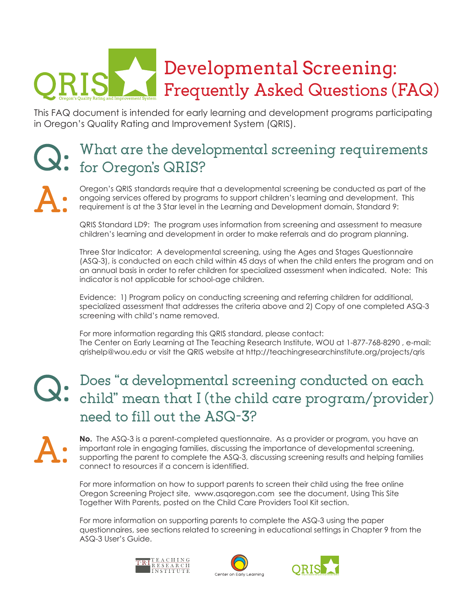## Developmental Screening: Frequently Asked Questions (FAQ)

This FAQ document is intended for early learning and development programs participating in Oregon's Quality Rating and Improvement System (QRIS).

### What are the developmental screening requirements for Oregon's QRIS?

Oregon's QRIS standards require that a developmental screening be conducted as part of the ongoing services offered by programs to support children's learning and development. This requirement is at the 3 Star level in the Learning and Development domain, Standard 9:

QRIS Standard LD9: The program uses information from screening and assessment to measure children's learning and development in order to make referrals and do program planning.

Three Star Indicator: A developmental screening, using the Ages and Stages Questionnaire (ASQ-3), is conducted on each child within 45 days of when the child enters the program and on an annual basis in order to refer children for specialized assessment when indicated. Note: This indicator is not applicable for school-age children.

Evidence: 1) Program policy on conducting screening and referring children for additional, specialized assessment that addresses the criteria above and 2) Copy of one completed ASQ-3 screening with child's name removed.

For more information regarding this QRIS standard, please contact: The Center on Early Learning at The Teaching Research Institute, WOU at 1-877-768-8290 , e-mail: qrishelp@wou.edu or visit the QRIS website at http://teachingresearchinstitute.org/projects/qris

### Does "a developmental screening conducted on each child" mean that I (the child care program/provider) need to fill out the ASQ-3?

**No.** The ASQ-3 is a parent-completed questionnaire. As a provider or program, you have an important role in engaging families, discussing the importance of developmental screening, supporting the parent to complete the ASQ-3, discussing screening results and helping families connect to resources if a concern is identified.

For more information on how to support parents to screen their child using the free online Oregon Screening Project site, www.asqoregon.com see the document, Using This Site Together With Parents, posted on the Child Care Providers Tool Kit section.

For more information on supporting parents to complete the ASQ-3 using the paper questionnaires, see sections related to screening in educational settings in Chapter 9 from the ASQ-3 User's Guide.





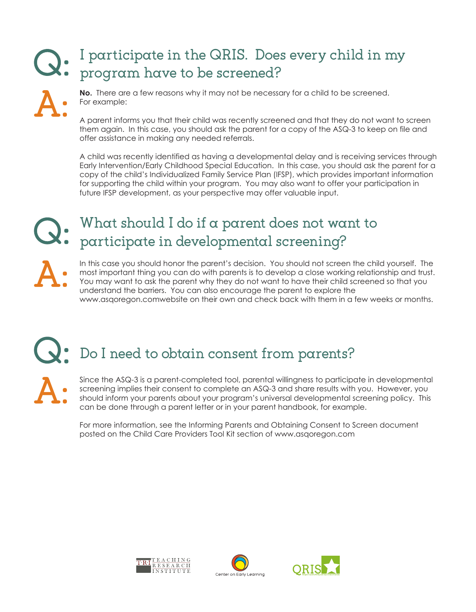### I participate in the QRIS. Does every child in my program have to be screened?



**No.** There are a few reasons why it may not be necessary for a child to be screened. For example:

A parent informs you that their child was recently screened and that they do not want to screen them again. In this case, you should ask the parent for a copy of the ASQ-3 to keep on file and offer assistance in making any needed referrals.

A child was recently identified as having a developmental delay and is receiving services through Early Intervention/Early Childhood Special Education. In this case, you should ask the parent for a copy of the child's Individualized Family Service Plan (IFSP), which provides important information for supporting the child within your program. You may also want to offer your participation in future IFSP development, as your perspective may offer valuable input.

### What should I do if a parent does not want to participate in developmental screening?

In this case you should honor the parent's decision. You should not screen the child yourself. The most important thing you can do with parents is to develop a close working relationship and trust. You may want to ask the parent why they do not want to have their child screened so that you understand the barriers. You can also encourage the parent to explore the www.asqoregon.comwebsite on their own and check back with them in a few weeks or months.

# Do I need to obtain consent from parents?

Since the ASQ-3 is a parent-completed tool, parental willingness to participate in developmental screening implies their consent to complete an ASQ-3 and share results with you. However, you should inform your parents about your program's universal developmental screening policy. This can be done through a parent letter or in your parent handbook, for example.

For more information, see the Informing Parents and Obtaining Consent to Screen document posted on the Child Care Providers Tool Kit section of www.asqoregon.com





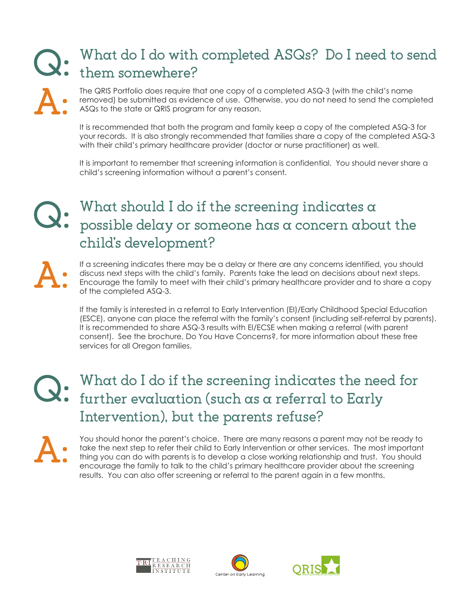### What do I do with completed ASQs? Do I need to send them somewhere?

The QRIS Portfolio does require that one copy of a completed ASQ-3 (with the child's name removed) be submitted as evidence of use. Otherwise, you do not need to send the completed ASQs to the state or QRIS program for any reason.

It is recommended that both the program and family keep a copy of the completed ASQ-3 for your records. It is also strongly recommended that families share a copy of the completed ASQ-3 with their child's primary healthcare provider (doctor or nurse practitioner) as well.

It is important to remember that screening information is confidential. You should never share a child's screening information without a parent's consent.

#### What should I do if the screening indicates a possible delay or someone has a concern about the child's development?

If a screening indicates there may be a delay or there are any concerns identified, you should discuss next steps with the child's family. Parents take the lead on decisions about next steps. Encourage the family to meet with their child's primary healthcare provider and to share a copy of the completed ASQ-3.

If the family is interested in a referral to Early Intervention (EI)/Early Childhood Special Education (ESCE), anyone can place the referral with the family's consent (including self-referral by parents). It is recommended to share ASQ-3 results with EI/ECSE when making a referral (with parent consent). See the brochure, Do You Have Concerns?, for more information about these free services for all Oregon families.

### What do I do if the screening indicates the need for further evaluation (such as a referral to Early Intervention), but the parents refuse?

You should honor the parent's choice. There are many reasons a parent may not be ready to take the next step to refer their child to Early Intervention or other services. The most important thing you can do with parents is to develop a close working relationship and trust. You should encourage the family to talk to the child's primary healthcare provider about the screening results. You can also offer screening or referral to the parent again in a few months.